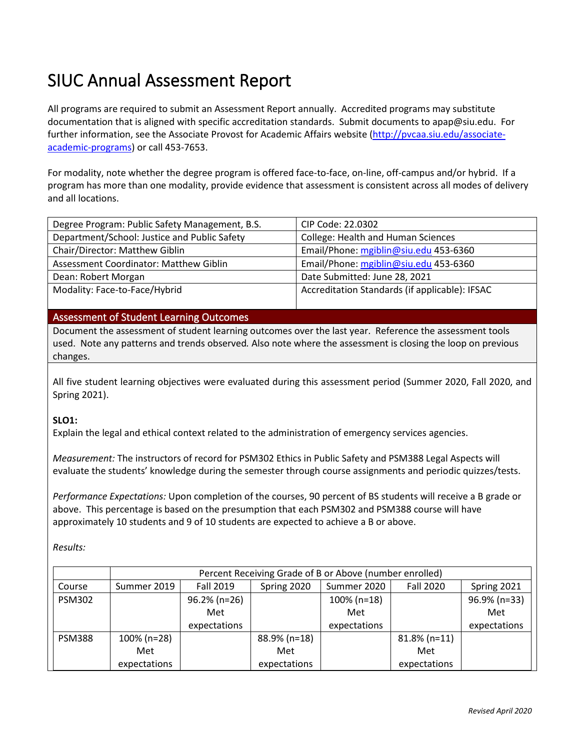# SIUC Annual Assessment Report

All programs are required to submit an Assessment Report annually. Accredited programs may substitute documentation that is aligned with specific accreditation standards. Submit documents to apap@siu.edu. For further information, see the Associate Provost for Academic Affairs website [\(http://pvcaa.siu.edu/associate](http://pvcaa.siu.edu/associate-academic-programs)[academic-programs\)](http://pvcaa.siu.edu/associate-academic-programs) or call 453-7653.

For modality, note whether the degree program is offered face-to-face, on-line, off-campus and/or hybrid. If a program has more than one modality, provide evidence that assessment is consistent across all modes of delivery and all locations.

| Degree Program: Public Safety Management, B.S. | CIP Code: 22.0302                              |
|------------------------------------------------|------------------------------------------------|
| Department/School: Justice and Public Safety   | <b>College: Health and Human Sciences</b>      |
| Chair/Director: Matthew Giblin                 | Email/Phone: mgiblin@siu.edu 453-6360          |
| Assessment Coordinator: Matthew Giblin         | Email/Phone: mgiblin@siu.edu 453-6360          |
| Dean: Robert Morgan                            | Date Submitted: June 28, 2021                  |
| Modality: Face-to-Face/Hybrid                  | Accreditation Standards (if applicable): IFSAC |
|                                                |                                                |

#### Assessment of Student Learning Outcomes

Document the assessment of student learning outcomes over the last year. Reference the assessment tools used. Note any patterns and trends observed*.* Also note where the assessment is closing the loop on previous changes.

All five student learning objectives were evaluated during this assessment period (Summer 2020, Fall 2020, and Spring 2021).

#### **SLO1:**

Explain the legal and ethical context related to the administration of emergency services agencies.

*Measurement:* The instructors of record for PSM302 Ethics in Public Safety and PSM388 Legal Aspects will evaluate the students' knowledge during the semester through course assignments and periodic quizzes/tests.

*Performance Expectations:* Upon completion of the courses, 90 percent of BS students will receive a B grade or above. This percentage is based on the presumption that each PSM302 and PSM388 course will have approximately 10 students and 9 of 10 students are expected to achieve a B or above.

*Results:* 

|               | Percent Receiving Grade of B or Above (number enrolled) |                  |              |                |                  |              |
|---------------|---------------------------------------------------------|------------------|--------------|----------------|------------------|--------------|
| Course        | Summer 2019                                             | <b>Fall 2019</b> | Spring 2020  | Summer 2020    | <b>Fall 2020</b> | Spring 2021  |
| <b>PSM302</b> |                                                         | $96.2\%$ (n=26)  |              | $100\%$ (n=18) |                  | 96.9% (n=33) |
|               |                                                         | Met              |              | Met            |                  | Met          |
|               |                                                         | expectations     |              | expectations   |                  | expectations |
| <b>PSM388</b> | 100% (n=28)                                             |                  | 88.9% (n=18) |                | $81.8\%$ (n=11)  |              |
|               | Met                                                     |                  | Met          |                | Met              |              |
|               | expectations                                            |                  | expectations |                | expectations     |              |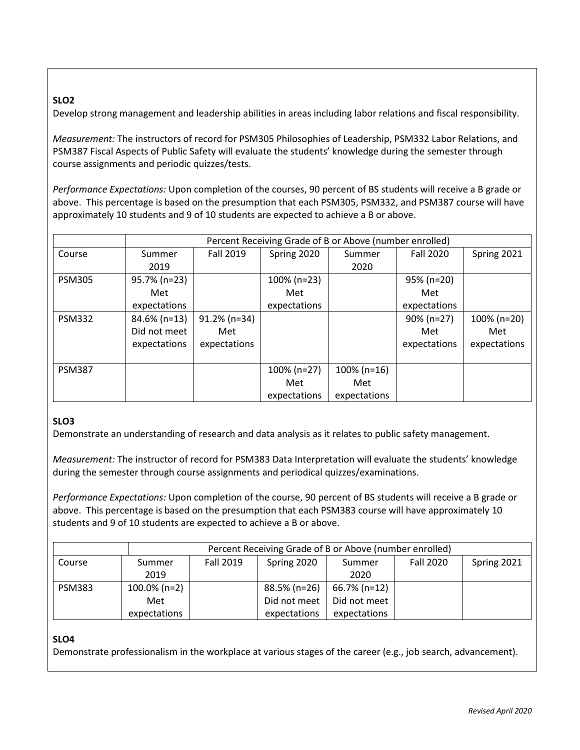# **SLO2**

Develop strong management and leadership abilities in areas including labor relations and fiscal responsibility.

*Measurement:* The instructors of record for PSM305 Philosophies of Leadership, PSM332 Labor Relations, and PSM387 Fiscal Aspects of Public Safety will evaluate the students' knowledge during the semester through course assignments and periodic quizzes/tests.

*Performance Expectations:* Upon completion of the courses, 90 percent of BS students will receive a B grade or above. This percentage is based on the presumption that each PSM305, PSM332, and PSM387 course will have approximately 10 students and 9 of 10 students are expected to achieve a B or above.

|               | Percent Receiving Grade of B or Above (number enrolled) |                  |              |                |                  |              |
|---------------|---------------------------------------------------------|------------------|--------------|----------------|------------------|--------------|
| Course        | Summer                                                  | <b>Fall 2019</b> | Spring 2020  | Summer         | <b>Fall 2020</b> | Spring 2021  |
|               | 2019                                                    |                  |              | 2020           |                  |              |
| <b>PSM305</b> | 95.7% (n=23)                                            |                  | 100% (n=23)  |                | 95% (n=20)       |              |
|               | Met                                                     |                  | Met          |                | Met              |              |
|               | expectations                                            |                  | expectations |                | expectations     |              |
| <b>PSM332</b> | 84.6% (n=13)                                            | $91.2\%$ (n=34)  |              |                | $90\%$ (n=27)    | 100% (n=20)  |
|               | Did not meet                                            | Met              |              |                | Met              | Met          |
|               | expectations                                            | expectations     |              |                | expectations     | expectations |
|               |                                                         |                  |              |                |                  |              |
| <b>PSM387</b> |                                                         |                  | 100% (n=27)  | $100\%$ (n=16) |                  |              |
|               |                                                         |                  | Met          | Met            |                  |              |
|               |                                                         |                  | expectations | expectations   |                  |              |

# **SLO3**

Demonstrate an understanding of research and data analysis as it relates to public safety management.

*Measurement:* The instructor of record for PSM383 Data Interpretation will evaluate the students' knowledge during the semester through course assignments and periodical quizzes/examinations.

*Performance Expectations:* Upon completion of the course, 90 percent of BS students will receive a B grade or above. This percentage is based on the presumption that each PSM383 course will have approximately 10 students and 9 of 10 students are expected to achieve a B or above.

|               | Percent Receiving Grade of B or Above (number enrolled) |           |              |              |                  |             |
|---------------|---------------------------------------------------------|-----------|--------------|--------------|------------------|-------------|
| Course        | Summer                                                  | Fall 2019 | Spring 2020  | Summer       | <b>Fall 2020</b> | Spring 2021 |
|               | 2019                                                    |           |              | 2020         |                  |             |
| <b>PSM383</b> | $100.0\%$ (n=2)                                         |           | 88.5% (n=26) | 66.7% (n=12) |                  |             |
|               | Met                                                     |           | Did not meet | Did not meet |                  |             |
|               | expectations                                            |           | expectations | expectations |                  |             |

# **SLO4**

Demonstrate professionalism in the workplace at various stages of the career (e.g., job search, advancement).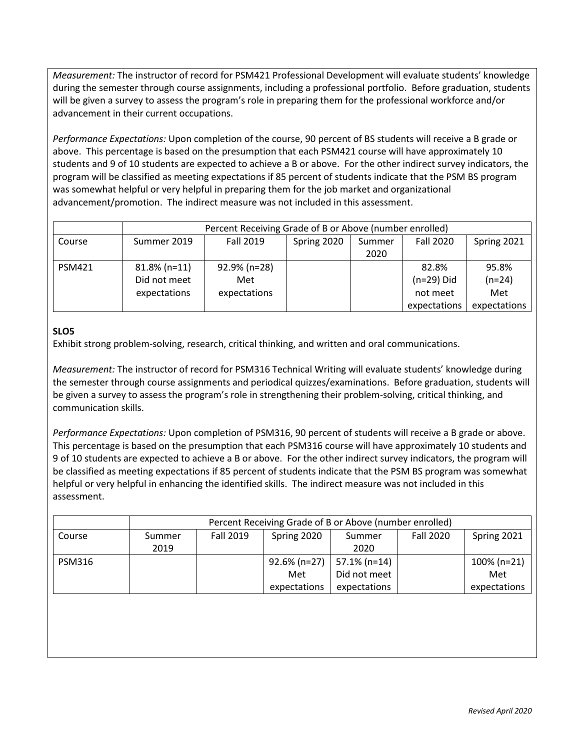*Measurement:* The instructor of record for PSM421 Professional Development will evaluate students' knowledge during the semester through course assignments, including a professional portfolio. Before graduation, students will be given a survey to assess the program's role in preparing them for the professional workforce and/or advancement in their current occupations.

*Performance Expectations:* Upon completion of the course, 90 percent of BS students will receive a B grade or above. This percentage is based on the presumption that each PSM421 course will have approximately 10 students and 9 of 10 students are expected to achieve a B or above. For the other indirect survey indicators, the program will be classified as meeting expectations if 85 percent of students indicate that the PSM BS program was somewhat helpful or very helpful in preparing them for the job market and organizational advancement/promotion. The indirect measure was not included in this assessment.

|               | Percent Receiving Grade of B or Above (number enrolled) |                                     |             |                |                                                   |                                          |
|---------------|---------------------------------------------------------|-------------------------------------|-------------|----------------|---------------------------------------------------|------------------------------------------|
| Course        | Summer 2019                                             | <b>Fall 2019</b>                    | Spring 2020 | Summer<br>2020 | <b>Fall 2020</b>                                  | Spring 2021                              |
| <b>PSM421</b> | $81.8\%$ (n=11)<br>Did not meet<br>expectations         | 92.9% (n=28)<br>Met<br>expectations |             |                | 82.8%<br>$(n=29)$ Did<br>not meet<br>expectations | 95.8%<br>$(n=24)$<br>Met<br>expectations |

# **SLO5**

Exhibit strong problem-solving, research, critical thinking, and written and oral communications.

*Measurement:* The instructor of record for PSM316 Technical Writing will evaluate students' knowledge during the semester through course assignments and periodical quizzes/examinations. Before graduation, students will be given a survey to assess the program's role in strengthening their problem-solving, critical thinking, and communication skills.

*Performance Expectations:* Upon completion of PSM316, 90 percent of students will receive a B grade or above. This percentage is based on the presumption that each PSM316 course will have approximately 10 students and 9 of 10 students are expected to achieve a B or above. For the other indirect survey indicators, the program will be classified as meeting expectations if 85 percent of students indicate that the PSM BS program was somewhat helpful or very helpful in enhancing the identified skills. The indirect measure was not included in this assessment.

|               | Percent Receiving Grade of B or Above (number enrolled)                         |  |                                |              |  |                |
|---------------|---------------------------------------------------------------------------------|--|--------------------------------|--------------|--|----------------|
| Course        | Fall 2019<br><b>Fall 2020</b><br>Spring 2021<br>Spring 2020<br>Summer<br>Summer |  |                                |              |  |                |
|               | 2019                                                                            |  |                                | 2020         |  |                |
| <b>PSM316</b> |                                                                                 |  | $92.6\%$ (n=27)   57.1% (n=14) |              |  | $100\%$ (n=21) |
|               |                                                                                 |  | Met                            | Did not meet |  | Met            |
|               |                                                                                 |  | expectations                   | expectations |  | expectations   |